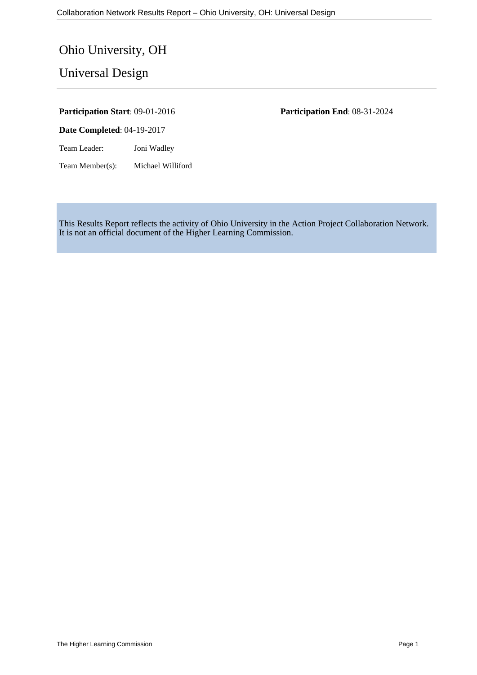# Ohio University, OH

Universal Design

**Date Completed**: 04-19-2017

Team Leader: Joni Wadley

Team Member(s): Michael Williford

**Participation Start**: 09-01-2016 **Participation End**: 08-31-2024

This Results Report reflects the activity of Ohio University in the Action Project Collaboration Network. It is not an official document of the Higher Learning Commission.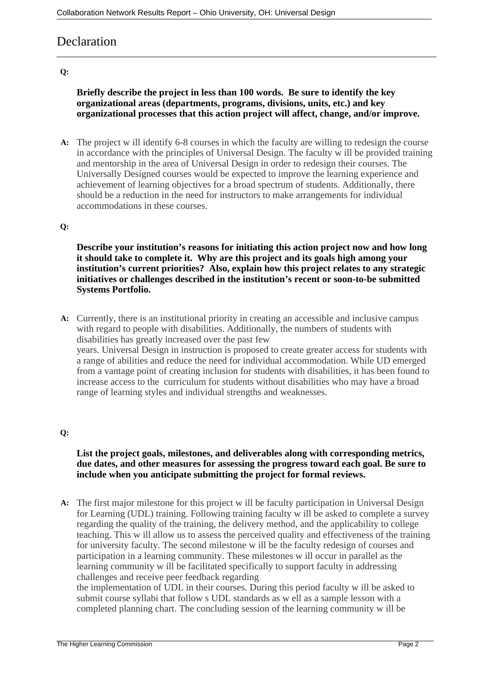## **Declaration**

#### **Q:**

#### **Briefly describe the project in less than 100 words. Be sure to identify the key organizational areas (departments, programs, divisions, units, etc.) and key organizational processes that this action project will affect, change, and/or improve.**

**A:** The project w ill identify 6-8 courses in which the faculty are willing to redesign the course in accordance with the principles of Universal Design. The faculty w ill be provided training and mentorship in the area of Universal Design in order to redesign their courses. The Universally Designed courses would be expected to improve the learning experience and achievement of learning objectives for a broad spectrum of students. Additionally, there should be a reduction in the need for instructors to make arrangements for individual accommodations in these courses.

#### **Q:**

**Describe your institution's reasons for initiating this action project now and how long it should take to complete it. Why are this project and its goals high among your institution's current priorities? Also, explain how this project relates to any strategic initiatives or challenges described in the institution's recent or soon-to-be submitted Systems Portfolio.**

**A:** Currently, there is an institutional priority in creating an accessible and inclusive campus with regard to people with disabilities. Additionally, the numbers of students with disabilities has greatly increased over the past few years. Universal Design in instruction is proposed to create greater access for students with a range of abilities and reduce the need for individual accommodation. While UD emerged from a vantage point of creating inclusion for students with disabilities, it has been found to increase access to the curriculum for students without disabilities who may have a broad range of learning styles and individual strengths and weaknesses.

#### **Q:**

**List the project goals, milestones, and deliverables along with corresponding metrics, due dates, and other measures for assessing the progress toward each goal. Be sure to include when you anticipate submitting the project for formal reviews.**

**A:** The first major milestone for this project w ill be faculty participation in Universal Design for Learning (UDL) training. Following training faculty w ill be asked to complete a survey regarding the quality of the training, the delivery method, and the applicability to college teaching. This w ill allow us to assess the perceived quality and effectiveness of the training for university faculty. The second milestone w ill be the faculty redesign of courses and participation in a learning community. These milestones w ill occur in parallel as the learning community w ill be facilitated specifically to support faculty in addressing challenges and receive peer feedback regarding

the implementation of UDL in their courses. During this period faculty w ill be asked to submit course syllabi that follow s UDL standards as w ell as a sample lesson with a completed planning chart. The concluding session of the learning community w ill be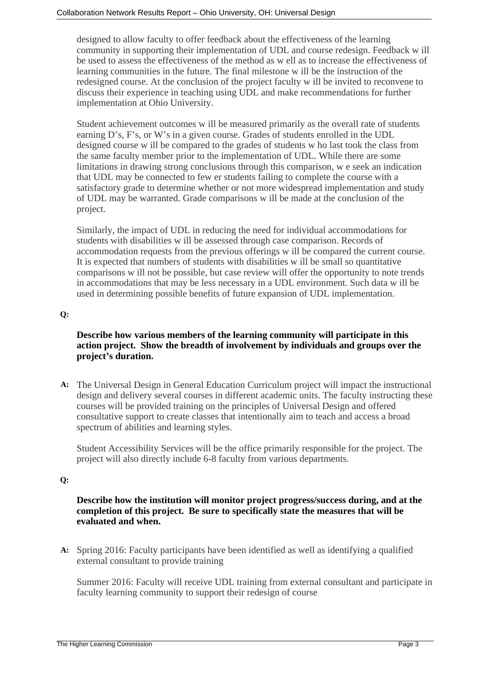designed to allow faculty to offer feedback about the effectiveness of the learning community in supporting their implementation of UDL and course redesign. Feedback w ill be used to assess the effectiveness of the method as w ell as to increase the effectiveness of learning communities in the future. The final milestone w ill be the instruction of the redesigned course. At the conclusion of the project faculty w ill be invited to reconvene to discuss their experience in teaching using UDL and make recommendations for further implementation at Ohio University.

Student achievement outcomes w ill be measured primarily as the overall rate of students earning D's, F's, or W's in a given course. Grades of students enrolled in the UDL designed course w ill be compared to the grades of students w ho last took the class from the same faculty member prior to the implementation of UDL. While there are some limitations in drawing strong conclusions through this comparison, w e seek an indication that UDL may be connected to few er students failing to complete the course with a satisfactory grade to determine whether or not more widespread implementation and study of UDL may be warranted. Grade comparisons w ill be made at the conclusion of the project.

Similarly, the impact of UDL in reducing the need for individual accommodations for students with disabilities w ill be assessed through case comparison. Records of accommodation requests from the previous offerings w ill be compared the current course. It is expected that numbers of students with disabilities w ill be small so quantitative comparisons w ill not be possible, but case review will offer the opportunity to note trends in accommodations that may be less necessary in a UDL environment. Such data w ill be used in determining possible benefits of future expansion of UDL implementation.

#### **Q:**

#### **Describe how various members of the learning community will participate in this action project. Show the breadth of involvement by individuals and groups over the project's duration.**

**A:** The Universal Design in General Education Curriculum project will impact the instructional design and delivery several courses in different academic units. The faculty instructing these courses will be provided training on the principles of Universal Design and offered consultative support to create classes that intentionally aim to teach and access a broad spectrum of abilities and learning styles.

Student Accessibility Services will be the office primarily responsible for the project. The project will also directly include 6-8 faculty from various departments.

#### **Q:**

#### **Describe how the institution will monitor project progress/success during, and at the completion of this project. Be sure to specifically state the measures that will be evaluated and when.**

**A:** Spring 2016: Faculty participants have been identified as well as identifying a qualified external consultant to provide training

Summer 2016: Faculty will receive UDL training from external consultant and participate in faculty learning community to support their redesign of course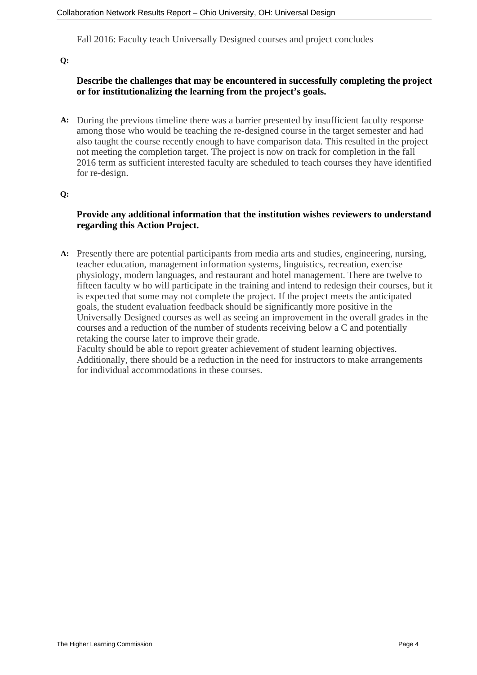Fall 2016: Faculty teach Universally Designed courses and project concludes

**Q:**

#### **Describe the challenges that may be encountered in successfully completing the project or for institutionalizing the learning from the project's goals.**

**A:** During the previous timeline there was a barrier presented by insufficient faculty response among those who would be teaching the re-designed course in the target semester and had also taught the course recently enough to have comparison data. This resulted in the project not meeting the completion target. The project is now on track for completion in the fall 2016 term as sufficient interested faculty are scheduled to teach courses they have identified for re-design.

**Q:**

#### **Provide any additional information that the institution wishes reviewers to understand regarding this Action Project.**

**A:** Presently there are potential participants from media arts and studies, engineering, nursing, teacher education, management information systems, linguistics, recreation, exercise physiology, modern languages, and restaurant and hotel management. There are twelve to fifteen faculty w ho will participate in the training and intend to redesign their courses, but it is expected that some may not complete the project. If the project meets the anticipated goals, the student evaluation feedback should be significantly more positive in the Universally Designed courses as well as seeing an improvement in the overall grades in the courses and a reduction of the number of students receiving below a C and potentially retaking the course later to improve their grade.

Faculty should be able to report greater achievement of student learning objectives. Additionally, there should be a reduction in the need for instructors to make arrangements for individual accommodations in these courses.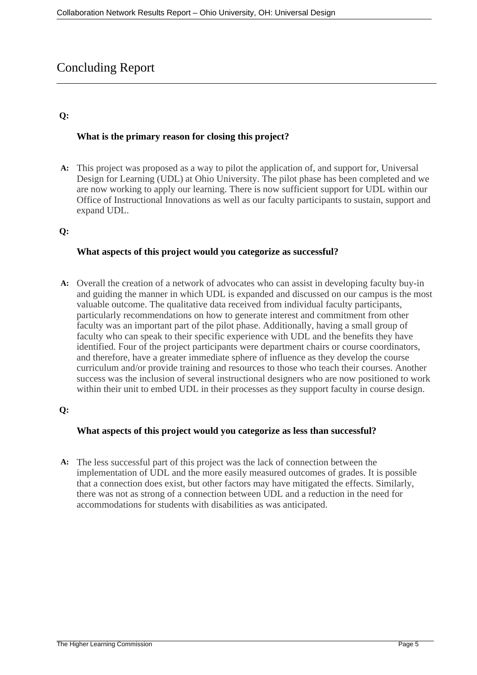## Concluding Report

#### **Q:**

#### **What is the primary reason for closing this project?**

**A:** This project was proposed as a way to pilot the application of, and support for, Universal Design for Learning (UDL) at Ohio University. The pilot phase has been completed and we are now working to apply our learning. There is now sufficient support for UDL within our Office of Instructional Innovations as well as our faculty participants to sustain, support and expand UDL.

#### **Q:**

#### **What aspects of this project would you categorize as successful?**

**A:** Overall the creation of a network of advocates who can assist in developing faculty buy-in and guiding the manner in which UDL is expanded and discussed on our campus is the most valuable outcome. The qualitative data received from individual faculty participants, particularly recommendations on how to generate interest and commitment from other faculty was an important part of the pilot phase. Additionally, having a small group of faculty who can speak to their specific experience with UDL and the benefits they have identified. Four of the project participants were department chairs or course coordinators, and therefore, have a greater immediate sphere of influence as they develop the course curriculum and/or provide training and resources to those who teach their courses. Another success was the inclusion of several instructional designers who are now positioned to work within their unit to embed UDL in their processes as they support faculty in course design.

#### **Q:**

#### **What aspects of this project would you categorize as less than successful?**

**A:** The less successful part of this project was the lack of connection between the implementation of UDL and the more easily measured outcomes of grades. It is possible that a connection does exist, but other factors may have mitigated the effects. Similarly, there was not as strong of a connection between UDL and a reduction in the need for accommodations for students with disabilities as was anticipated.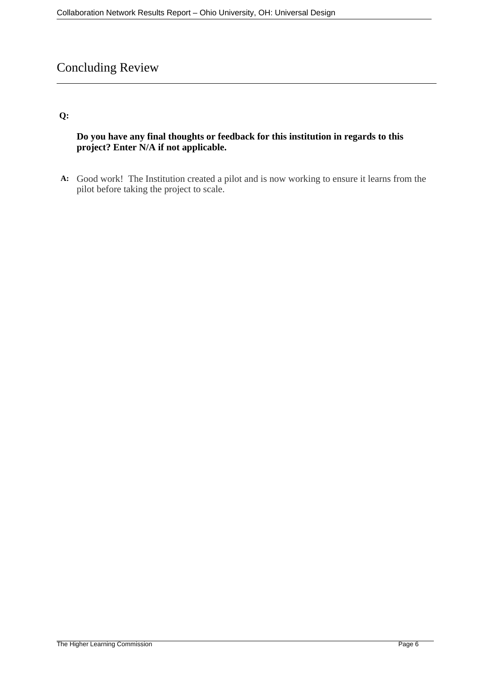# Concluding Review

#### **Q:**

#### **Do you have any final thoughts or feedback for this institution in regards to this project? Enter N/A if not applicable.**

**A:** Good work! The Institution created a pilot and is now working to ensure it learns from the pilot before taking the project to scale.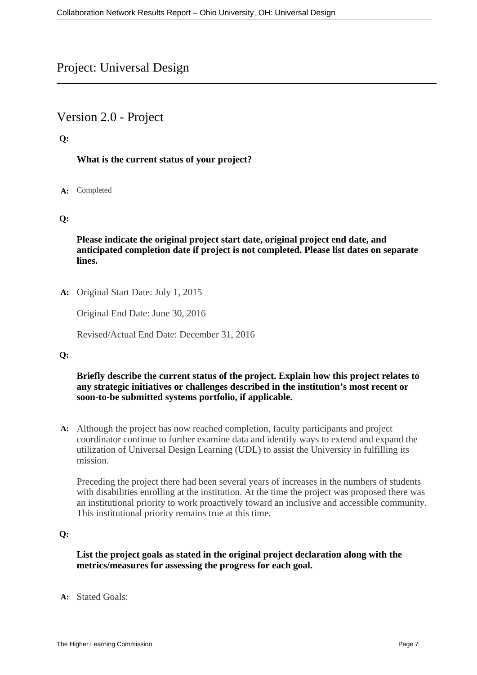## Project: Universal Design

## Version 2.0 - Project

#### **Q:**

#### **What is the current status of your project?**

#### **A:** Completed

#### **Q:**

**Please indicate the original project start date, original project end date, and anticipated completion date if project is not completed. Please list dates on separate lines.**

**A:** Original Start Date: July 1, 2015

Original End Date: June 30, 2016

Revised/Actual End Date: December 31, 2016

#### **Q:**

#### **Briefly describe the current status of the project. Explain how this project relates to any strategic initiatives or challenges described in the institution's most recent or soon-to-be submitted systems portfolio, if applicable.**

**A:** Although the project has now reached completion, faculty participants and project coordinator continue to further examine data and identify ways to extend and expand the utilization of Universal Design Learning (UDL) to assist the University in fulfilling its mission.

Preceding the project there had been several years of increases in the numbers of students with disabilities enrolling at the institution. At the time the project was proposed there was an institutional priority to work proactively toward an inclusive and accessible community. This institutional priority remains true at this time.

#### **Q:**

#### **List the project goals as stated in the original project declaration along with the metrics/measures for assessing the progress for each goal.**

**A:** Stated Goals: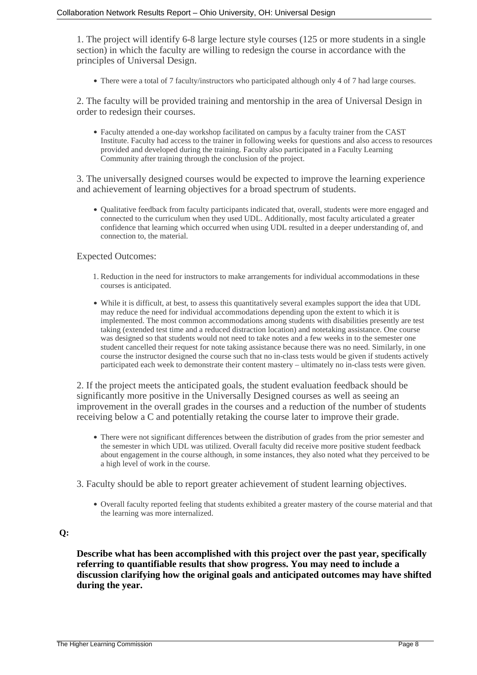1. The project will identify 6-8 large lecture style courses (125 or more students in a single section) in which the faculty are willing to redesign the course in accordance with the principles of Universal Design.

• There were a total of 7 faculty/instructors who participated although only 4 of 7 had large courses.

2. The faculty will be provided training and mentorship in the area of Universal Design in order to redesign their courses.

Faculty attended a one-day workshop facilitated on campus by a faculty trainer from the CAST Institute. Faculty had access to the trainer in following weeks for questions and also access to resources provided and developed during the training. Faculty also participated in a Faculty Learning Community after training through the conclusion of the project.

3. The universally designed courses would be expected to improve the learning experience and achievement of learning objectives for a broad spectrum of students.

• Qualitative feedback from faculty participants indicated that, overall, students were more engaged and connected to the curriculum when they used UDL. Additionally, most faculty articulated a greater confidence that learning which occurred when using UDL resulted in a deeper understanding of, and connection to, the material.

#### Expected Outcomes:

- 1. Reduction in the need for instructors to make arrangements for individual accommodations in these courses is anticipated.
- While it is difficult, at best, to assess this quantitatively several examples support the idea that UDL may reduce the need for individual accommodations depending upon the extent to which it is implemented. The most common accommodations among students with disabilities presently are test taking (extended test time and a reduced distraction location) and notetaking assistance. One course was designed so that students would not need to take notes and a few weeks in to the semester one student cancelled their request for note taking assistance because there was no need. Similarly, in one course the instructor designed the course such that no in-class tests would be given if students actively participated each week to demonstrate their content mastery – ultimately no in-class tests were given.

2. If the project meets the anticipated goals, the student evaluation feedback should be significantly more positive in the Universally Designed courses as well as seeing an improvement in the overall grades in the courses and a reduction of the number of students receiving below a C and potentially retaking the course later to improve their grade.

- There were not significant differences between the distribution of grades from the prior semester and the semester in which UDL was utilized. Overall faculty did receive more positive student feedback about engagement in the course although, in some instances, they also noted what they perceived to be a high level of work in the course.
- 3. Faculty should be able to report greater achievement of student learning objectives.
	- Overall faculty reported feeling that students exhibited a greater mastery of the course material and that the learning was more internalized.

#### **Q:**

**Describe what has been accomplished with this project over the past year, specifically referring to quantifiable results that show progress. You may need to include a discussion clarifying how the original goals and anticipated outcomes may have shifted during the year.**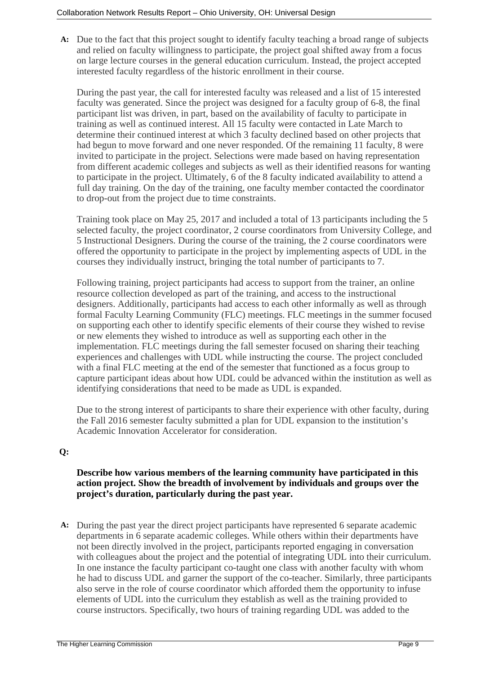**A:** Due to the fact that this project sought to identify faculty teaching a broad range of subjects and relied on faculty willingness to participate, the project goal shifted away from a focus on large lecture courses in the general education curriculum. Instead, the project accepted interested faculty regardless of the historic enrollment in their course.

During the past year, the call for interested faculty was released and a list of 15 interested faculty was generated. Since the project was designed for a faculty group of 6-8, the final participant list was driven, in part, based on the availability of faculty to participate in training as well as continued interest. All 15 faculty were contacted in Late March to determine their continued interest at which 3 faculty declined based on other projects that had begun to move forward and one never responded. Of the remaining 11 faculty, 8 were invited to participate in the project. Selections were made based on having representation from different academic colleges and subjects as well as their identified reasons for wanting to participate in the project. Ultimately, 6 of the 8 faculty indicated availability to attend a full day training. On the day of the training, one faculty member contacted the coordinator to drop-out from the project due to time constraints.

Training took place on May 25, 2017 and included a total of 13 participants including the 5 selected faculty, the project coordinator, 2 course coordinators from University College, and 5 Instructional Designers. During the course of the training, the 2 course coordinators were offered the opportunity to participate in the project by implementing aspects of UDL in the courses they individually instruct, bringing the total number of participants to 7.

Following training, project participants had access to support from the trainer, an online resource collection developed as part of the training, and access to the instructional designers. Additionally, participants had access to each other informally as well as through formal Faculty Learning Community (FLC) meetings. FLC meetings in the summer focused on supporting each other to identify specific elements of their course they wished to revise or new elements they wished to introduce as well as supporting each other in the implementation. FLC meetings during the fall semester focused on sharing their teaching experiences and challenges with UDL while instructing the course. The project concluded with a final FLC meeting at the end of the semester that functioned as a focus group to capture participant ideas about how UDL could be advanced within the institution as well as identifying considerations that need to be made as UDL is expanded.

Due to the strong interest of participants to share their experience with other faculty, during the Fall 2016 semester faculty submitted a plan for UDL expansion to the institution's Academic Innovation Accelerator for consideration.

#### **Q:**

#### **Describe how various members of the learning community have participated in this action project. Show the breadth of involvement by individuals and groups over the project's duration, particularly during the past year.**

**A:** During the past year the direct project participants have represented 6 separate academic departments in 6 separate academic colleges. While others within their departments have not been directly involved in the project, participants reported engaging in conversation with colleagues about the project and the potential of integrating UDL into their curriculum. In one instance the faculty participant co-taught one class with another faculty with whom he had to discuss UDL and garner the support of the co-teacher. Similarly, three participants also serve in the role of course coordinator which afforded them the opportunity to infuse elements of UDL into the curriculum they establish as well as the training provided to course instructors. Specifically, two hours of training regarding UDL was added to the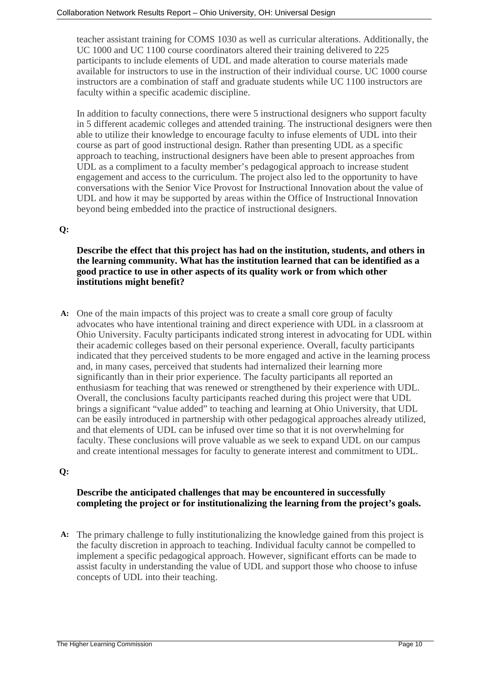teacher assistant training for COMS 1030 as well as curricular alterations. Additionally, the UC 1000 and UC 1100 course coordinators altered their training delivered to 225 participants to include elements of UDL and made alteration to course materials made available for instructors to use in the instruction of their individual course. UC 1000 course instructors are a combination of staff and graduate students while UC 1100 instructors are faculty within a specific academic discipline.

In addition to faculty connections, there were 5 instructional designers who support faculty in 5 different academic colleges and attended training. The instructional designers were then able to utilize their knowledge to encourage faculty to infuse elements of UDL into their course as part of good instructional design. Rather than presenting UDL as a specific approach to teaching, instructional designers have been able to present approaches from UDL as a compliment to a faculty member's pedagogical approach to increase student engagement and access to the curriculum. The project also led to the opportunity to have conversations with the Senior Vice Provost for Instructional Innovation about the value of UDL and how it may be supported by areas within the Office of Instructional Innovation beyond being embedded into the practice of instructional designers.

#### **Q:**

**Describe the effect that this project has had on the institution, students, and others in the learning community. What has the institution learned that can be identified as a good practice to use in other aspects of its quality work or from which other institutions might benefit?**

**A:** One of the main impacts of this project was to create a small core group of faculty advocates who have intentional training and direct experience with UDL in a classroom at Ohio University. Faculty participants indicated strong interest in advocating for UDL within their academic colleges based on their personal experience. Overall, faculty participants indicated that they perceived students to be more engaged and active in the learning process and, in many cases, perceived that students had internalized their learning more significantly than in their prior experience. The faculty participants all reported an enthusiasm for teaching that was renewed or strengthened by their experience with UDL. Overall, the conclusions faculty participants reached during this project were that UDL brings a significant "value added" to teaching and learning at Ohio University, that UDL can be easily introduced in partnership with other pedagogical approaches already utilized, and that elements of UDL can be infused over time so that it is not overwhelming for faculty. These conclusions will prove valuable as we seek to expand UDL on our campus and create intentional messages for faculty to generate interest and commitment to UDL.

#### **Q:**

#### **Describe the anticipated challenges that may be encountered in successfully completing the project or for institutionalizing the learning from the project's goals.**

**A:** The primary challenge to fully institutionalizing the knowledge gained from this project is the faculty discretion in approach to teaching. Individual faculty cannot be compelled to implement a specific pedagogical approach. However, significant efforts can be made to assist faculty in understanding the value of UDL and support those who choose to infuse concepts of UDL into their teaching.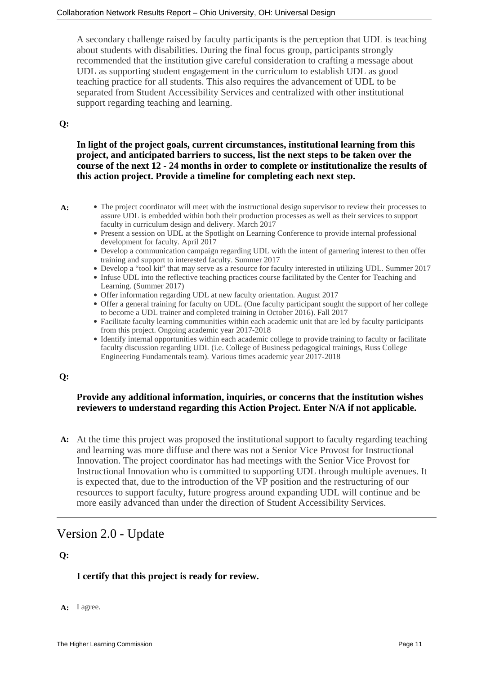A secondary challenge raised by faculty participants is the perception that UDL is teaching about students with disabilities. During the final focus group, participants strongly recommended that the institution give careful consideration to crafting a message about UDL as supporting student engagement in the curriculum to establish UDL as good teaching practice for all students. This also requires the advancement of UDL to be separated from Student Accessibility Services and centralized with other institutional support regarding teaching and learning.

#### **Q:**

**In light of the project goals, current circumstances, institutional learning from this project, and anticipated barriers to success, list the next steps to be taken over the course of the next 12 - 24 months in order to complete or institutionalize the results of this action project. Provide a timeline for completing each next step.**

- A: The project coordinator will meet with the instructional design supervisor to review their processes to assure UDL is embedded within both their production processes as well as their services to support faculty in curriculum design and delivery. March 2017
	- Present a session on UDL at the Spotlight on Learning Conference to provide internal professional development for faculty. April 2017
	- Develop a communication campaign regarding UDL with the intent of garnering interest to then offer training and support to interested faculty. Summer 2017
	- Develop a "tool kit" that may serve as a resource for faculty interested in utilizing UDL. Summer 2017
	- Infuse UDL into the reflective teaching practices course facilitated by the Center for Teaching and Learning. (Summer 2017)
	- Offer information regarding UDL at new faculty orientation. August 2017
	- Offer a general training for faculty on UDL. (One faculty participant sought the support of her college to become a UDL trainer and completed training in October 2016). Fall 2017
	- Facilitate faculty learning communities within each academic unit that are led by faculty participants from this project. Ongoing academic year 2017-2018
	- Identify internal opportunities within each academic college to provide training to faculty or facilitate faculty discussion regarding UDL (i.e. College of Business pedagogical trainings, Russ College Engineering Fundamentals team). Various times academic year 2017-2018

#### **Q:**

#### **Provide any additional information, inquiries, or concerns that the institution wishes reviewers to understand regarding this Action Project. Enter N/A if not applicable.**

**A:** At the time this project was proposed the institutional support to faculty regarding teaching and learning was more diffuse and there was not a Senior Vice Provost for Instructional Innovation. The project coordinator has had meetings with the Senior Vice Provost for Instructional Innovation who is committed to supporting UDL through multiple avenues. It is expected that, due to the introduction of the VP position and the restructuring of our resources to support faculty, future progress around expanding UDL will continue and be more easily advanced than under the direction of Student Accessibility Services.

## Version 2.0 - Update

#### **Q:**

#### **I certify that this project is ready for review.**

**A:** I agree.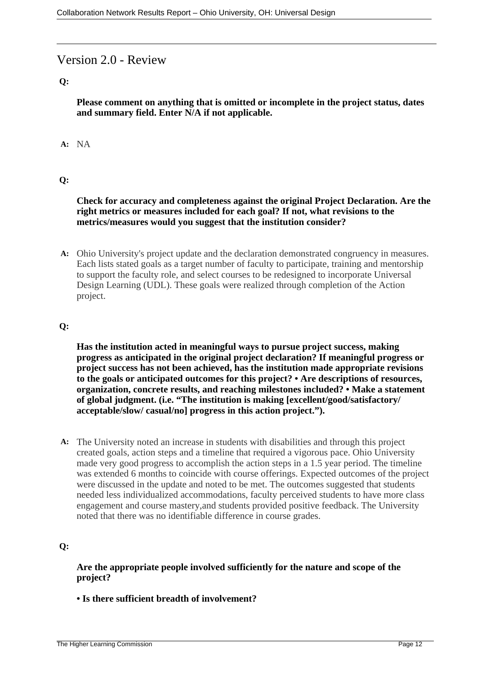## Version 2.0 - Review

#### **Q:**

**Please comment on anything that is omitted or incomplete in the project status, dates and summary field. Enter N/A if not applicable.**

#### **A:** NA

#### **Q:**

#### **Check for accuracy and completeness against the original Project Declaration. Are the right metrics or measures included for each goal? If not, what revisions to the metrics/measures would you suggest that the institution consider?**

**A:** Ohio University's project update and the declaration demonstrated congruency in measures. Each lists stated goals as a target number of faculty to participate, training and mentorship to support the faculty role, and select courses to be redesigned to incorporate Universal Design Learning (UDL). These goals were realized through completion of the Action project.

#### **Q:**

**Has the institution acted in meaningful ways to pursue project success, making progress as anticipated in the original project declaration? If meaningful progress or project success has not been achieved, has the institution made appropriate revisions to the goals or anticipated outcomes for this project? • Are descriptions of resources, organization, concrete results, and reaching milestones included? • Make a statement of global judgment. (i.e. "The institution is making [excellent/good/satisfactory/ acceptable/slow/ casual/no] progress in this action project.").**

**A:** The University noted an increase in students with disabilities and through this project created goals, action steps and a timeline that required a vigorous pace. Ohio University made very good progress to accomplish the action steps in a 1.5 year period. The timeline was extended 6 months to coincide with course offerings. Expected outcomes of the project were discussed in the update and noted to be met. The outcomes suggested that students needed less individualized accommodations, faculty perceived students to have more class engagement and course mastery,and students provided positive feedback. The University noted that there was no identifiable difference in course grades.

#### **Q:**

**Are the appropriate people involved sufficiently for the nature and scope of the project?**

**• Is there sufficient breadth of involvement?**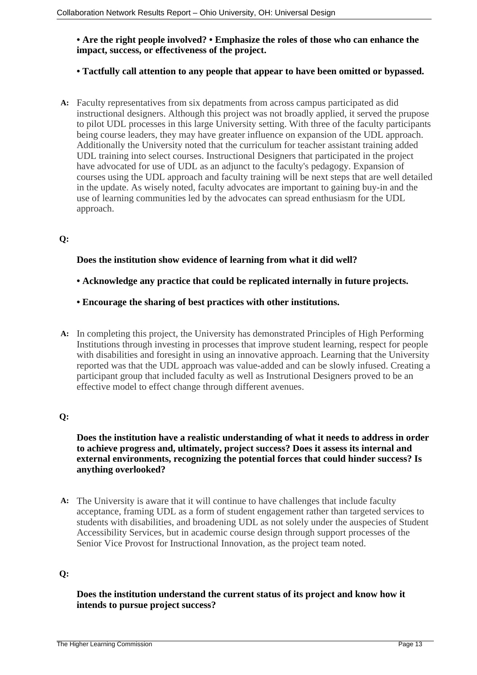#### **• Are the right people involved? • Emphasize the roles of those who can enhance the impact, success, or effectiveness of the project.**

#### **• Tactfully call attention to any people that appear to have been omitted or bypassed.**

**A:** Faculty representatives from six depatments from across campus participated as did instructional designers. Although this project was not broadly applied, it served the prupose to pilot UDL processes in this large University setting. With three of the faculty participants being course leaders, they may have greater influence on expansion of the UDL approach. Additionally the University noted that the curriculum for teacher assistant training added UDL training into select courses. Instructional Designers that participated in the project have advocated for use of UDL as an adjunct to the faculty's pedagogy. Expansion of courses using the UDL approach and faculty training will be next steps that are well detailed in the update. As wisely noted, faculty advocates are important to gaining buy-in and the use of learning communities led by the advocates can spread enthusiasm for the UDL approach.

#### **Q:**

#### **Does the institution show evidence of learning from what it did well?**

- **Acknowledge any practice that could be replicated internally in future projects.**
- **Encourage the sharing of best practices with other institutions.**
- **A:** In completing this project, the University has demonstrated Principles of High Performing Institutions through investing in processes that improve student learning, respect for people with disabilities and foresight in using an innovative approach. Learning that the University reported was that the UDL approach was value-added and can be slowly infused. Creating a participant group that included faculty as well as Instrutional Designers proved to be an effective model to effect change through different avenues.

#### **Q:**

**Does the institution have a realistic understanding of what it needs to address in order to achieve progress and, ultimately, project success? Does it assess its internal and external environments, recognizing the potential forces that could hinder success? Is anything overlooked?**

**A:** The University is aware that it will continue to have challenges that include faculty acceptance, framing UDL as a form of student engagement rather than targeted services to students with disabilities, and broadening UDL as not solely under the auspecies of Student Accessibility Services, but in academic course design through support processes of the Senior Vice Provost for Instructional Innovation, as the project team noted.

### **Q:**

#### **Does the institution understand the current status of its project and know how it intends to pursue project success?**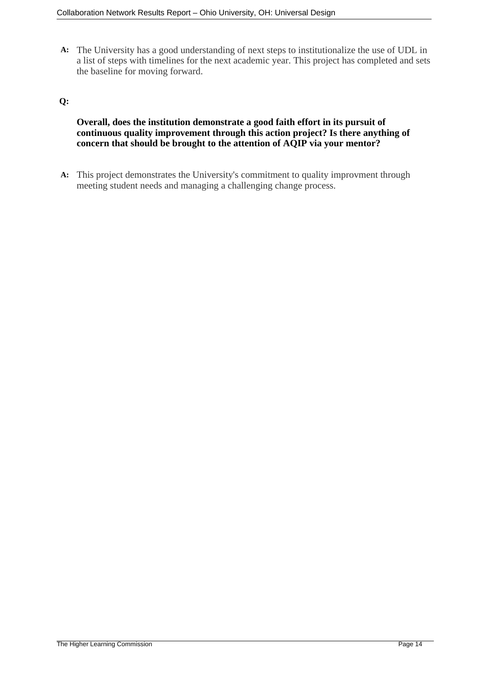**A:** The University has a good understanding of next steps to institutionalize the use of UDL in a list of steps with timelines for the next academic year. This project has completed and sets the baseline for moving forward.

#### **Q:**

#### **Overall, does the institution demonstrate a good faith effort in its pursuit of continuous quality improvement through this action project? Is there anything of concern that should be brought to the attention of AQIP via your mentor?**

**A:** This project demonstrates the University's commitment to quality improvment through meeting student needs and managing a challenging change process.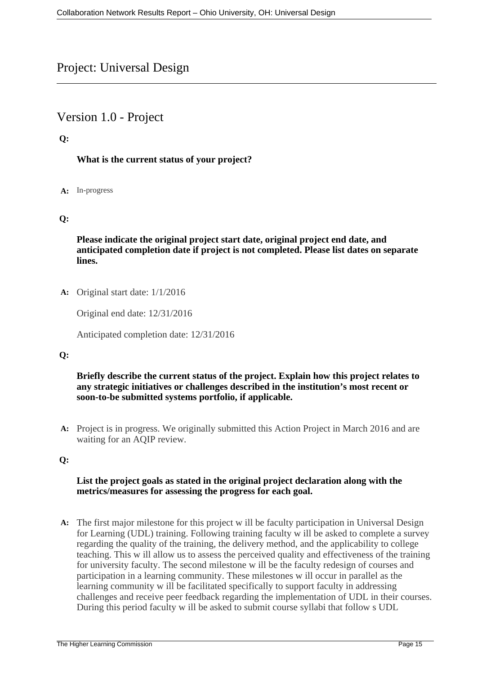## Project: Universal Design

## Version 1.0 - Project

#### **Q:**

#### **What is the current status of your project?**

#### **A:** In-progress

#### **Q:**

**Please indicate the original project start date, original project end date, and anticipated completion date if project is not completed. Please list dates on separate lines.**

**A:** Original start date: 1/1/2016

Original end date: 12/31/2016

Anticipated completion date: 12/31/2016

#### **Q:**

#### **Briefly describe the current status of the project. Explain how this project relates to any strategic initiatives or challenges described in the institution's most recent or soon-to-be submitted systems portfolio, if applicable.**

**A:** Project is in progress. We originally submitted this Action Project in March 2016 and are waiting for an AQIP review.

### **Q:**

#### **List the project goals as stated in the original project declaration along with the metrics/measures for assessing the progress for each goal.**

**A:** The first major milestone for this project w ill be faculty participation in Universal Design for Learning (UDL) training. Following training faculty w ill be asked to complete a survey regarding the quality of the training, the delivery method, and the applicability to college teaching. This w ill allow us to assess the perceived quality and effectiveness of the training for university faculty. The second milestone w ill be the faculty redesign of courses and participation in a learning community. These milestones w ill occur in parallel as the learning community w ill be facilitated specifically to support faculty in addressing challenges and receive peer feedback regarding the implementation of UDL in their courses. During this period faculty w ill be asked to submit course syllabi that follow s UDL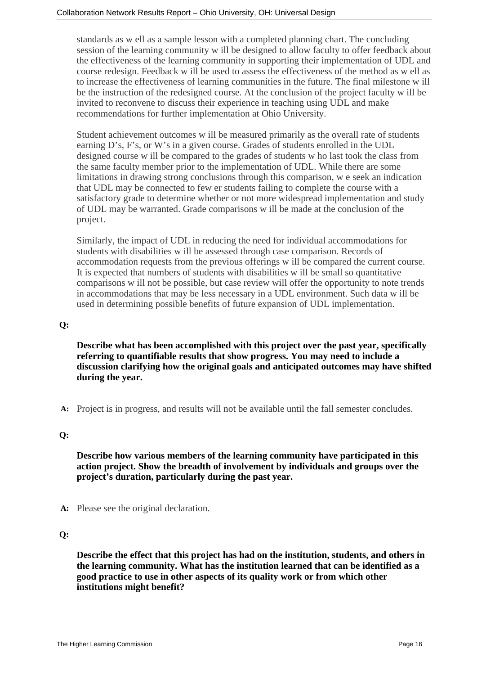standards as w ell as a sample lesson with a completed planning chart. The concluding session of the learning community w ill be designed to allow faculty to offer feedback about the effectiveness of the learning community in supporting their implementation of UDL and course redesign. Feedback w ill be used to assess the effectiveness of the method as w ell as to increase the effectiveness of learning communities in the future. The final milestone w ill be the instruction of the redesigned course. At the conclusion of the project faculty w ill be invited to reconvene to discuss their experience in teaching using UDL and make recommendations for further implementation at Ohio University.

Student achievement outcomes w ill be measured primarily as the overall rate of students earning D's, F's, or W's in a given course. Grades of students enrolled in the UDL designed course w ill be compared to the grades of students w ho last took the class from the same faculty member prior to the implementation of UDL. While there are some limitations in drawing strong conclusions through this comparison, w e seek an indication that UDL may be connected to few er students failing to complete the course with a satisfactory grade to determine whether or not more widespread implementation and study of UDL may be warranted. Grade comparisons w ill be made at the conclusion of the project.

Similarly, the impact of UDL in reducing the need for individual accommodations for students with disabilities w ill be assessed through case comparison. Records of accommodation requests from the previous offerings w ill be compared the current course. It is expected that numbers of students with disabilities w ill be small so quantitative comparisons w ill not be possible, but case review will offer the opportunity to note trends in accommodations that may be less necessary in a UDL environment. Such data w ill be used in determining possible benefits of future expansion of UDL implementation.

#### **Q:**

**Describe what has been accomplished with this project over the past year, specifically referring to quantifiable results that show progress. You may need to include a discussion clarifying how the original goals and anticipated outcomes may have shifted during the year.**

**A:** Project is in progress, and results will not be available until the fall semester concludes.

#### **Q:**

**Describe how various members of the learning community have participated in this action project. Show the breadth of involvement by individuals and groups over the project's duration, particularly during the past year.**

**A:** Please see the original declaration.

#### **Q:**

**Describe the effect that this project has had on the institution, students, and others in the learning community. What has the institution learned that can be identified as a good practice to use in other aspects of its quality work or from which other institutions might benefit?**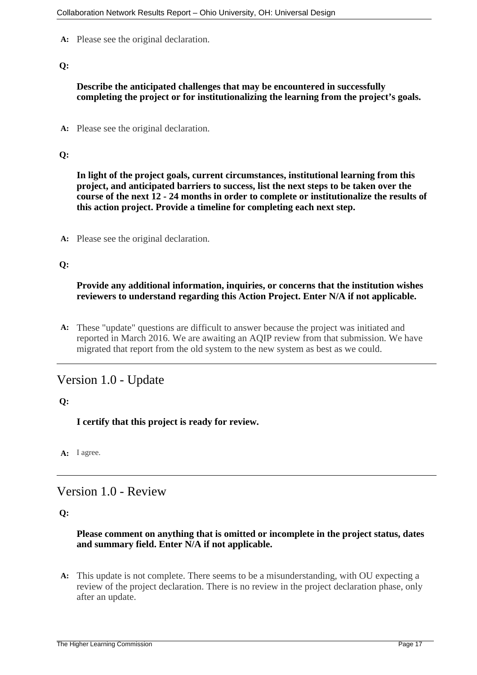**A:** Please see the original declaration.

#### **Q:**

#### **Describe the anticipated challenges that may be encountered in successfully completing the project or for institutionalizing the learning from the project's goals.**

**A:** Please see the original declaration.

#### **Q:**

**In light of the project goals, current circumstances, institutional learning from this project, and anticipated barriers to success, list the next steps to be taken over the course of the next 12 - 24 months in order to complete or institutionalize the results of this action project. Provide a timeline for completing each next step.**

**A:** Please see the original declaration.

#### **Q:**

#### **Provide any additional information, inquiries, or concerns that the institution wishes reviewers to understand regarding this Action Project. Enter N/A if not applicable.**

**A:** These "update" questions are difficult to answer because the project was initiated and reported in March 2016. We are awaiting an AQIP review from that submission. We have migrated that report from the old system to the new system as best as we could.

# Version 1.0 - Update

#### **Q:**

**I certify that this project is ready for review.**

**A:** I agree.

## Version 1.0 - Review

#### **Q:**

#### **Please comment on anything that is omitted or incomplete in the project status, dates and summary field. Enter N/A if not applicable.**

**A:** This update is not complete. There seems to be a misunderstanding, with OU expecting a review of the project declaration. There is no review in the project declaration phase, only after an update.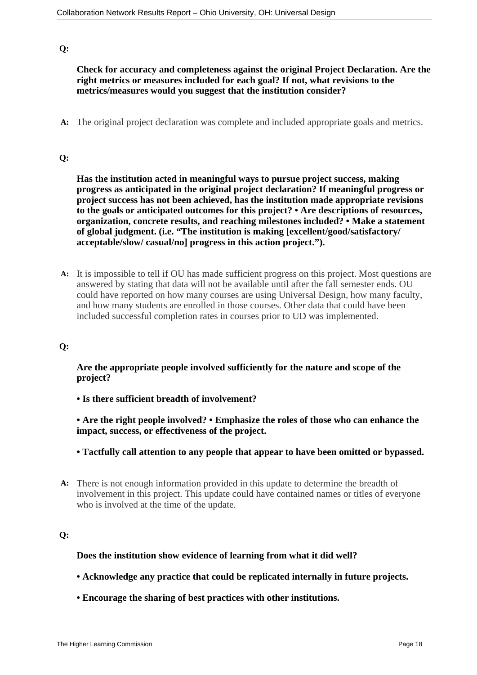#### **Q:**

**Check for accuracy and completeness against the original Project Declaration. Are the right metrics or measures included for each goal? If not, what revisions to the metrics/measures would you suggest that the institution consider?**

**A:** The original project declaration was complete and included appropriate goals and metrics.

#### **Q:**

**Has the institution acted in meaningful ways to pursue project success, making progress as anticipated in the original project declaration? If meaningful progress or project success has not been achieved, has the institution made appropriate revisions to the goals or anticipated outcomes for this project? • Are descriptions of resources, organization, concrete results, and reaching milestones included? • Make a statement of global judgment. (i.e. "The institution is making [excellent/good/satisfactory/ acceptable/slow/ casual/no] progress in this action project.").**

**A:** It is impossible to tell if OU has made sufficient progress on this project. Most questions are answered by stating that data will not be available until after the fall semester ends. OU could have reported on how many courses are using Universal Design, how many faculty, and how many students are enrolled in those courses. Other data that could have been included successful completion rates in courses prior to UD was implemented.

#### **Q:**

**Are the appropriate people involved sufficiently for the nature and scope of the project?**

**• Is there sufficient breadth of involvement?**

**• Are the right people involved? • Emphasize the roles of those who can enhance the impact, success, or effectiveness of the project.**

- **Tactfully call attention to any people that appear to have been omitted or bypassed.**
- **A:** There is not enough information provided in this update to determine the breadth of involvement in this project. This update could have contained names or titles of everyone who is involved at the time of the update.

#### **Q:**

#### **Does the institution show evidence of learning from what it did well?**

- **Acknowledge any practice that could be replicated internally in future projects.**
- **Encourage the sharing of best practices with other institutions.**